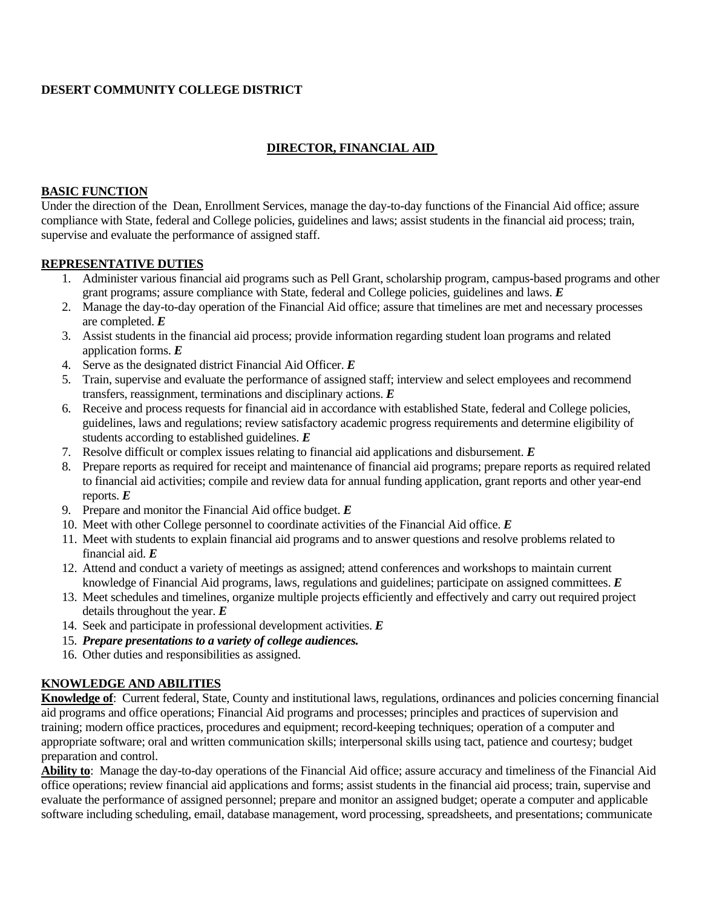### **DESERT COMMUNITY COLLEGE DISTRICT**

# **DIRECTOR, FINANCIAL AID**

#### **BASIC FUNCTION**

Under the direction of the Dean, Enrollment Services, manage the day-to-day functions of the Financial Aid office; assure compliance with State, federal and College policies, guidelines and laws; assist students in the financial aid process; train, supervise and evaluate the performance of assigned staff.

### **REPRESENTATIVE DUTIES**

- 1. Administer various financial aid programs such as Pell Grant, scholarship program, campus-based programs and other grant programs; assure compliance with State, federal and College policies, guidelines and laws. *E*
- 2. Manage the day-to-day operation of the Financial Aid office; assure that timelines are met and necessary processes are completed. *E*
- 3. Assist students in the financial aid process; provide information regarding student loan programs and related application forms. *E*
- 4. Serve as the designated district Financial Aid Officer. *E*
- 5. Train, supervise and evaluate the performance of assigned staff; interview and select employees and recommend transfers, reassignment, terminations and disciplinary actions. *E*
- 6. Receive and process requests for financial aid in accordance with established State, federal and College policies, guidelines, laws and regulations; review satisfactory academic progress requirements and determine eligibility of students according to established guidelines. *E*
- 7. Resolve difficult or complex issues relating to financial aid applications and disbursement. *E*
- 8. Prepare reports as required for receipt and maintenance of financial aid programs; prepare reports as required related to financial aid activities; compile and review data for annual funding application, grant reports and other year-end reports. *E*
- 9. Prepare and monitor the Financial Aid office budget. *E*
- 10. Meet with other College personnel to coordinate activities of the Financial Aid office. *E*
- 11. Meet with students to explain financial aid programs and to answer questions and resolve problems related to financial aid. *E*
- 12. Attend and conduct a variety of meetings as assigned; attend conferences and workshops to maintain current knowledge of Financial Aid programs, laws, regulations and guidelines; participate on assigned committees. *E*
- 13. Meet schedules and timelines, organize multiple projects efficiently and effectively and carry out required project details throughout the year. *E*
- 14. Seek and participate in professional development activities. *E*
- 15. *Prepare presentations to a variety of college audiences.*
- 16. Other duties and responsibilities as assigned.

# **KNOWLEDGE AND ABILITIES**

**Knowledge of**: Current federal, State, County and institutional laws, regulations, ordinances and policies concerning financial aid programs and office operations; Financial Aid programs and processes; principles and practices of supervision and training; modern office practices, procedures and equipment; record-keeping techniques; operation of a computer and appropriate software; oral and written communication skills; interpersonal skills using tact, patience and courtesy; budget preparation and control.

**Ability to**: Manage the day-to-day operations of the Financial Aid office; assure accuracy and timeliness of the Financial Aid office operations; review financial aid applications and forms; assist students in the financial aid process; train, supervise and evaluate the performance of assigned personnel; prepare and monitor an assigned budget; operate a computer and applicable software including scheduling, email, database management, word processing, spreadsheets, and presentations; communicate